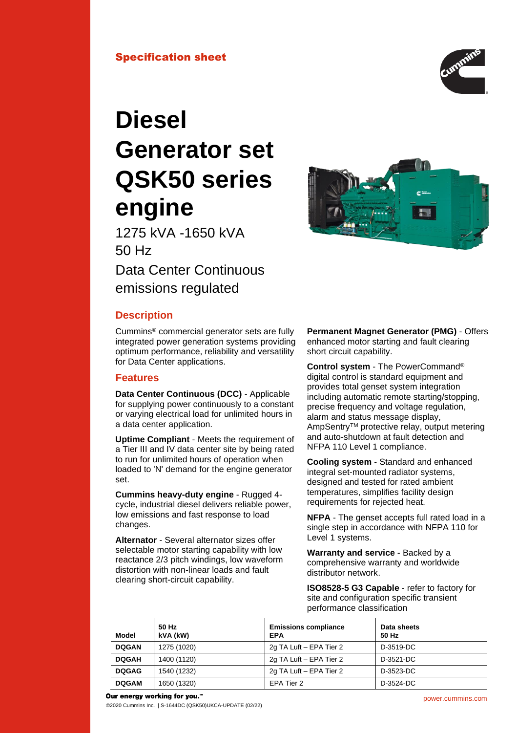

# **Diesel Generator set QSK50 series engine**

1275 kVA -1650 kVA 50 Hz Data Center Continuous

emissions regulated

# **Description**

Cummins® commercial generator sets are fully integrated power generation systems providing optimum performance, reliability and versatility for Data Center applications.

# **Features**

**Data Center Continuous (DCC)** - Applicable for supplying power continuously to a constant or varying electrical load for unlimited hours in a data center application.

**Uptime Compliant** - Meets the requirement of a Tier III and IV data center site by being rated to run for unlimited hours of operation when loaded to 'N' demand for the engine generator set.

**Cummins heavy-duty engine** - Rugged 4 cycle, industrial diesel delivers reliable power, low emissions and fast response to load changes.

**Alternator** - Several alternator sizes offer selectable motor starting capability with low reactance 2/3 pitch windings, low waveform distortion with non-linear loads and fault clearing short-circuit capability.

**Permanent Magnet Generator (PMG)** - Offers enhanced motor starting and fault clearing short circuit capability.

**Control system** - The PowerCommand® digital control is standard equipment and provides total genset system integration including automatic remote starting/stopping, precise frequency and voltage regulation, alarm and status message display, AmpSentryTM protective relay, output metering and auto-shutdown at fault detection and NFPA 110 Level 1 compliance.

**Cooling system** - Standard and enhanced integral set-mounted radiator systems, designed and tested for rated ambient temperatures, simplifies facility design requirements for rejected heat.

**NFPA** - The genset accepts full rated load in a single step in accordance with NFPA 110 for Level 1 systems.

**Warranty and service** - Backed by a comprehensive warranty and worldwide distributor network.

**ISO8528-5 G3 Capable** - refer to factory for site and configuration specific transient performance classification

| Model        | 50 Hz<br>kVA (kW) | <b>Emissions compliance</b><br><b>EPA</b> | Data sheets<br>50 Hz |
|--------------|-------------------|-------------------------------------------|----------------------|
| <b>DOGAN</b> | 1275 (1020)       | 2g TA Luft - EPA Tier 2                   | D-3519-DC            |
| <b>DQGAH</b> | 1400 (1120)       | 2g TA Luft - EPA Tier 2                   | D-3521-DC            |
| <b>DOGAG</b> | 1540 (1232)       | 2g TA Luft - EPA Tier 2                   | D-3523-DC            |
| <b>DQGAM</b> | 1650 (1320)       | EPA Tier 2                                | D-3524-DC            |

#### Our energy working for you.™

©2020 Cummins Inc. | S-1644DC (QSK50)UKCA-UPDATE (02/22)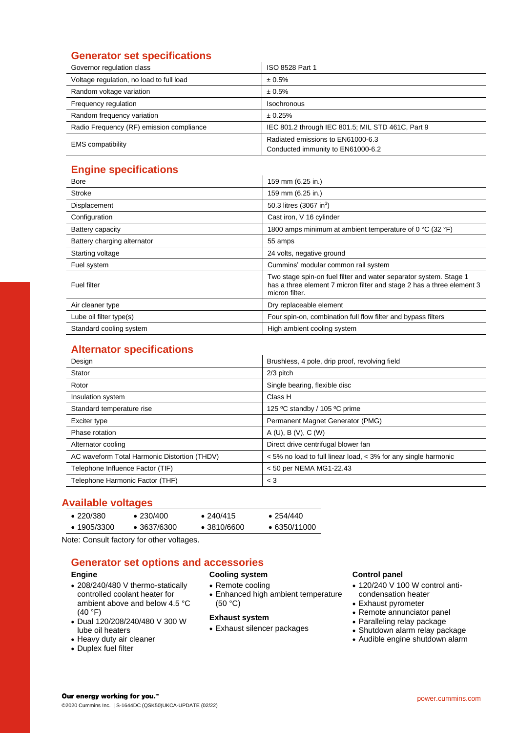# **Generator set specifications**

| Governor regulation class                | ISO 8528 Part 1                                                        |  |  |
|------------------------------------------|------------------------------------------------------------------------|--|--|
| Voltage regulation, no load to full load | ± 0.5%                                                                 |  |  |
| Random voltage variation                 | ± 0.5%                                                                 |  |  |
| Frequency regulation                     | <b>Isochronous</b>                                                     |  |  |
| Random frequency variation               | ± 0.25%                                                                |  |  |
| Radio Frequency (RF) emission compliance | IEC 801.2 through IEC 801.5; MIL STD 461C, Part 9                      |  |  |
| <b>EMS</b> compatibility                 | Radiated emissions to EN61000-6.3<br>Conducted immunity to EN61000-6.2 |  |  |

# **Engine specifications**

| ытупто орооптоаноно         |                                                                                                                                                              |
|-----------------------------|--------------------------------------------------------------------------------------------------------------------------------------------------------------|
| <b>Bore</b>                 | 159 mm (6.25 in.)                                                                                                                                            |
| <b>Stroke</b>               | 159 mm (6.25 in.)                                                                                                                                            |
| Displacement                | 50.3 litres (3067 in <sup>3</sup> )                                                                                                                          |
| Configuration               | Cast iron, V 16 cylinder                                                                                                                                     |
| Battery capacity            | 1800 amps minimum at ambient temperature of 0 $^{\circ}$ C (32 $^{\circ}$ F)                                                                                 |
| Battery charging alternator | 55 amps                                                                                                                                                      |
| Starting voltage            | 24 volts, negative ground                                                                                                                                    |
| Fuel system                 | Cummins' modular common rail system                                                                                                                          |
| <b>Fuel filter</b>          | Two stage spin-on fuel filter and water separator system. Stage 1<br>has a three element 7 micron filter and stage 2 has a three element 3<br>micron filter. |
| Air cleaner type            | Dry replaceable element                                                                                                                                      |
| Lube oil filter type(s)     | Four spin-on, combination full flow filter and bypass filters                                                                                                |
| Standard cooling system     | High ambient cooling system                                                                                                                                  |

# **Alternator specifications**

| Design                                       | Brushless, 4 pole, drip proof, revolving field                 |
|----------------------------------------------|----------------------------------------------------------------|
| Stator                                       | $2/3$ pitch                                                    |
| Rotor                                        | Single bearing, flexible disc                                  |
| Insulation system                            | Class H                                                        |
| Standard temperature rise                    | 125 °C standby / 105 °C prime                                  |
| Exciter type                                 | Permanent Magnet Generator (PMG)                               |
| Phase rotation                               | A(U), B(V), C(W)                                               |
| Alternator cooling                           | Direct drive centrifugal blower fan                            |
| AC waveform Total Harmonic Distortion (THDV) | < 5% no load to full linear load, < 3% for any single harmonic |
| Telephone Influence Factor (TIF)             | < 50 per NEMA MG1-22.43                                        |
| Telephone Harmonic Factor (THF)              | $<$ 3                                                          |

## **Available voltages**

| $\bullet$ 220/380   | $\bullet$ 230/400   | $\bullet$ 240/415   | $\bullet$ 254/440    |
|---------------------|---------------------|---------------------|----------------------|
| $\bullet$ 1905/3300 | $\bullet$ 3637/6300 | $\bullet$ 3810/6600 | $\bullet$ 6350/11000 |

Note: Consult factory for other voltages.

## **Generator set options and accessories**

#### **Engine**

- 208/240/480 V thermo-statically controlled coolant heater for ambient above and below 4.5 °C (40 °F)
- Dual 120/208/240/480 V 300 W lube oil heaters
- Heavy duty air cleaner
- Duplex fuel filter

#### **Cooling system**

- Remote cooling
- Enhanced high ambient temperature (50 °C)

#### **Exhaust system**

• Exhaust silencer packages

#### **Control panel**

- 120/240 V 100 W control anticondensation heater
- Exhaust pyrometer
- Remote annunciator panel
- Paralleling relay package
- Shutdown alarm relay package
- Audible engine shutdown alarm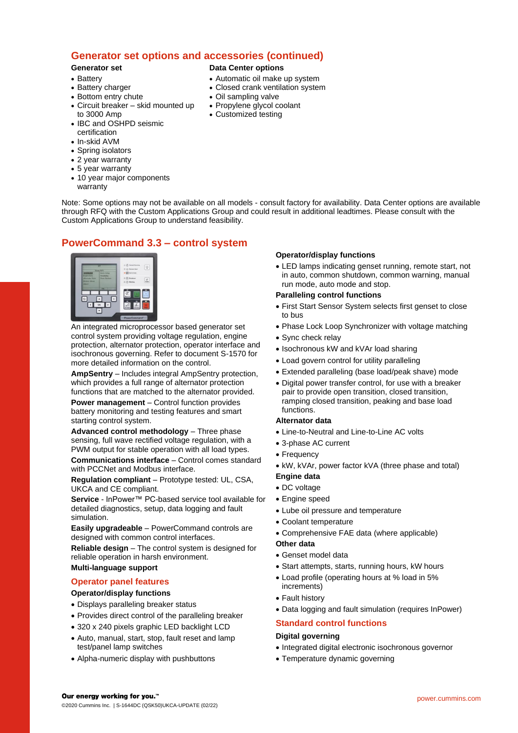# **Generator set options and accessories (continued)**

#### **Generator set**

• Battery charger • Bottom entry chute

• Battery

- **Data Center options**
- Automatic oil make up system
- Closed crank ventilation system
- Oil sampling valve
- Propylene glycol coolant
- Customized testing
- to 3000 Amp • IBC and OSHPD seismic certification
- In-skid AVM
- Spring isolators
- 2 year warranty
- 5 year warranty
- 10 year major components

• Circuit breaker – skid mounted up

warranty

Note: Some options may not be available on all models - consult factory for availability. Data Center options are available through RFQ with the Custom Applications Group and could result in additional leadtimes. Please consult with the Custom Applications Group to understand feasibility.

# **PowerCommand 3.3 – control system**



An integrated microprocessor based generator set control system providing voltage regulation, engine protection, alternator protection, operator interface and isochronous governing. Refer to document S-1570 for more detailed information on the control.

**AmpSentry** – Includes integral AmpSentry protection, which provides a full range of alternator protection functions that are matched to the alternator provided.

**Power management** – Control function provides battery monitoring and testing features and smart starting control system.

**Advanced control methodology** – Three phase sensing, full wave rectified voltage regulation, with a PWM output for stable operation with all load types.

**Communications interface** – Control comes standard with PCCNet and Modbus interface.

**Regulation compliant** – Prototype tested: UL, CSA, UKCA and CE compliant.

**Service** - InPower™ PC-based service tool available for detailed diagnostics, setup, data logging and fault simulation.

**Easily upgradeable** – PowerCommand controls are designed with common control interfaces.

**Reliable design** – The control system is designed for reliable operation in harsh environment. **Multi-language support**

## **Operator panel features**

#### **Operator/display functions**

- Displays paralleling breaker status
- Provides direct control of the paralleling breaker
- 320 x 240 pixels graphic LED backlight LCD
- Auto, manual, start, stop, fault reset and lamp test/panel lamp switches
- Alpha-numeric display with pushbuttons

#### **Operator/display functions**

• LED lamps indicating genset running, remote start, not in auto, common shutdown, common warning, manual run mode, auto mode and stop.

#### **Paralleling control functions**

- First Start Sensor System selects first genset to close to bus
- Phase Lock Loop Synchronizer with voltage matching
- Sync check relay
- Isochronous kW and kVAr load sharing
- Load govern control for utility paralleling
- Extended paralleling (base load/peak shave) mode
- Digital power transfer control, for use with a breaker pair to provide open transition, closed transition, ramping closed transition, peaking and base load functions.

#### **Alternator data**

- Line-to-Neutral and Line-to-Line AC volts
- 3-phase AC current
- Frequency
- kW, kVAr, power factor kVA (three phase and total)

#### **Engine data**

- DC voltage
- Engine speed
- Lube oil pressure and temperature
- Coolant temperature
- Comprehensive FAE data (where applicable)

#### **Other data**

- Genset model data
- Start attempts, starts, running hours, kW hours
- Load profile (operating hours at % load in 5% increments)
- Fault history
- Data logging and fault simulation (requires InPower)

# **Standard control functions**

#### **Digital governing**

- Integrated digital electronic isochronous governor
- Temperature dynamic governing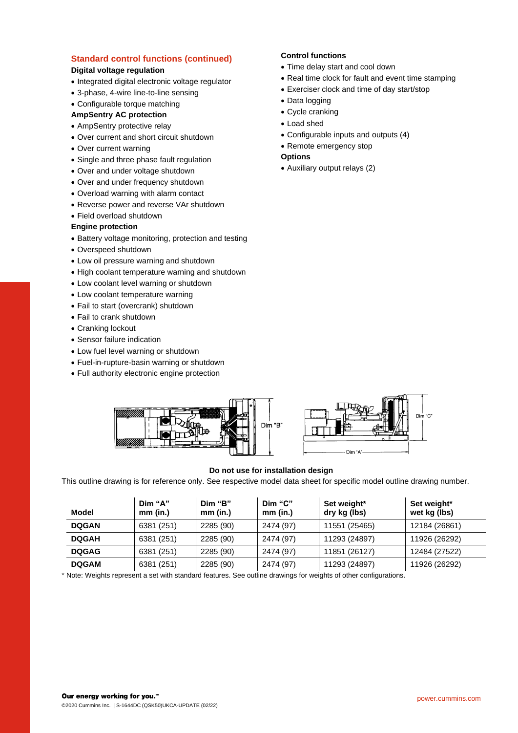## **Standard control functions (continued)**

## **Digital voltage regulation**

- Integrated digital electronic voltage regulator
- 3-phase, 4-wire line-to-line sensing
- Configurable torque matching

## **AmpSentry AC protection**

- AmpSentry protective relay
- Over current and short circuit shutdown
- Over current warning
- Single and three phase fault regulation
- Over and under voltage shutdown
- Over and under frequency shutdown
- Overload warning with alarm contact
- Reverse power and reverse VAr shutdown
- Field overload shutdown

## **Engine protection**

- Battery voltage monitoring, protection and testing
- Overspeed shutdown
- Low oil pressure warning and shutdown
- High coolant temperature warning and shutdown
- Low coolant level warning or shutdown
- Low coolant temperature warning
- Fail to start (overcrank) shutdown
- Fail to crank shutdown
- Cranking lockout
- Sensor failure indication
- Low fuel level warning or shutdown
- Fuel-in-rupture-basin warning or shutdown
- Full authority electronic engine protection

## **Control functions**

- Time delay start and cool down
- Real time clock for fault and event time stamping
- Exerciser clock and time of day start/stop
- Data logging
- Cycle cranking
- Load shed
- Configurable inputs and outputs (4)
- Remote emergency stop

## **Options**

• Auxiliary output relays (2)





## **Do not use for installation design**

This outline drawing is for reference only. See respective model data sheet for specific model outline drawing number.

| Model        | Dim "A"<br>mm (in.) | Dim "B"<br>$mm$ (in.) | Dim "C"<br>$mm$ (in.) | Set weight*<br>dry kg (lbs) | Set weight*<br>wet kg (lbs) |
|--------------|---------------------|-----------------------|-----------------------|-----------------------------|-----------------------------|
| <b>DQGAN</b> | 6381 (251)          | 2285 (90)             | 2474 (97)             | 11551 (25465)               | 12184 (26861)               |
| <b>DQGAH</b> | 6381 (251)          | 2285 (90)             | 2474 (97)             | 11293 (24897)               | 11926 (26292)               |
| <b>DQGAG</b> | 6381 (251)          | 2285 (90)             | 2474 (97)             | 11851 (26127)               | 12484 (27522)               |
| <b>DQGAM</b> | 6381 (251)          | 2285 (90)             | 2474 (97)             | 11293 (24897)               | 11926 (26292)               |

\* Note: Weights represent a set with standard features. See outline drawings for weights of other configurations.